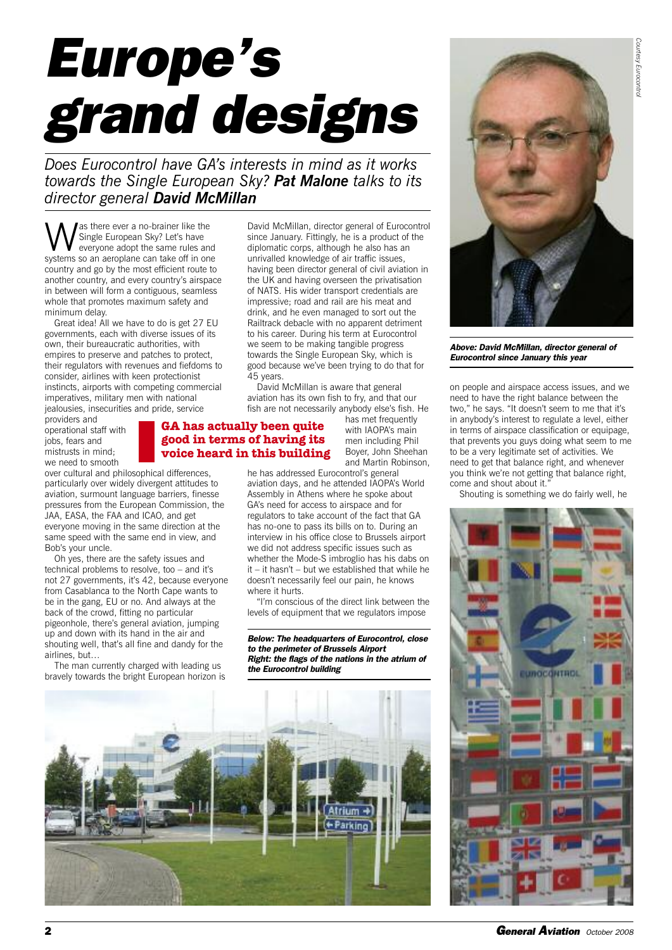# *Europe's grand designs*

*Does Eurocontrol have GA's interests in mind as it works towards the Single European Sky? Pat Malone talks to its director general David McMillan*

as there ever a no-brainer like the Single European Sky? Let's have everyone adopt the same rules and systems so an aeroplane can take off in one country and go by the most efficient route to another country, and every country's airspace in between will form a contiguous, seamless whole that promotes maximum safety and minimum delay.

Great idea! All we have to do is get 27 EU governments, each with diverse issues of its own, their bureaucratic authorities, with empires to preserve and patches to protect, their regulators with revenues and fiefdoms to consider, airlines with keen protectionist instincts, airports with competing commercial imperatives, military men with national jealousies, insecurities and pride, service

providers and operational staff with jobs, fears and mistrusts in mind; we need to smooth

over cultural and philosophical differences, particularly over widely divergent attitudes to aviation, surmount language barriers, finesse pressures from the European Commission, the JAA, EASA, the FAA and ICAO, and get everyone moving in the same direction at the same speed with the same end in view, and Bob's your uncle.

Oh yes, there are the safety issues and technical problems to resolve, too – and it's not 27 governments, it's 42, because everyone from Casablanca to the North Cape wants to be in the gang, EU or no. And always at the back of the crowd, fitting no particular pigeonhole, there's general aviation, jumping up and down with its hand in the air and shouting well, that's all fine and dandy for the airlines, but…

The man currently charged with leading us bravely towards the bright European horizon is

David McMillan, director general of Eurocontrol since January. Fittingly, he is a product of the diplomatic corps, although he also has an unrivalled knowledge of air traffic issues, having been director general of civil aviation in the UK and having overseen the privatisation of NATS. His wider transport credentials are impressive; road and rail are his meat and drink, and he even managed to sort out the Railtrack debacle with no apparent detriment to his career. During his term at Eurocontrol we seem to be making tangible progress towards the Single European Sky, which is good because we've been trying to do that for 45 years.

David McMillan is aware that general aviation has its own fish to fry, and that our fish are not necessarily anybody else's fish. He

# **GA has actually been quite good in terms of having its voice heard in this building**

has met frequently with IAOPA's main men including Phil Boyer, John Sheehan and Martin Robinson,

he has addressed Eurocontrol's general aviation days, and he attended IAOPA's World Assembly in Athens where he spoke about GA's need for access to airspace and for regulators to take account of the fact that GA has no-one to pass its bills on to. During an interview in his office close to Brussels airport we did not address specific issues such as whether the Mode-S imbroglio has his dabs on it – it hasn't – but we established that while he doesn't necessarily feel our pain, he knows where it hurts.

"I'm conscious of the direct link between the levels of equipment that we regulators impose

*Below: The headquarters of Eurocontrol, close to the perimeter of Brussels Airport Right: the flags of the nations in the atrium of the Eurocontrol building*





*Above: David McMillan, director general of Eurocontrol since January this year*

on people and airspace access issues, and we need to have the right balance between the two," he says. "It doesn't seem to me that it's in anybody's interest to regulate a level, either in terms of airspace classification or equipage, that prevents you guys doing what seem to me to be a very legitimate set of activities. We need to get that balance right, and whenever you think we're not getting that balance right, come and shout about it."

Shouting is something we do fairly well, he

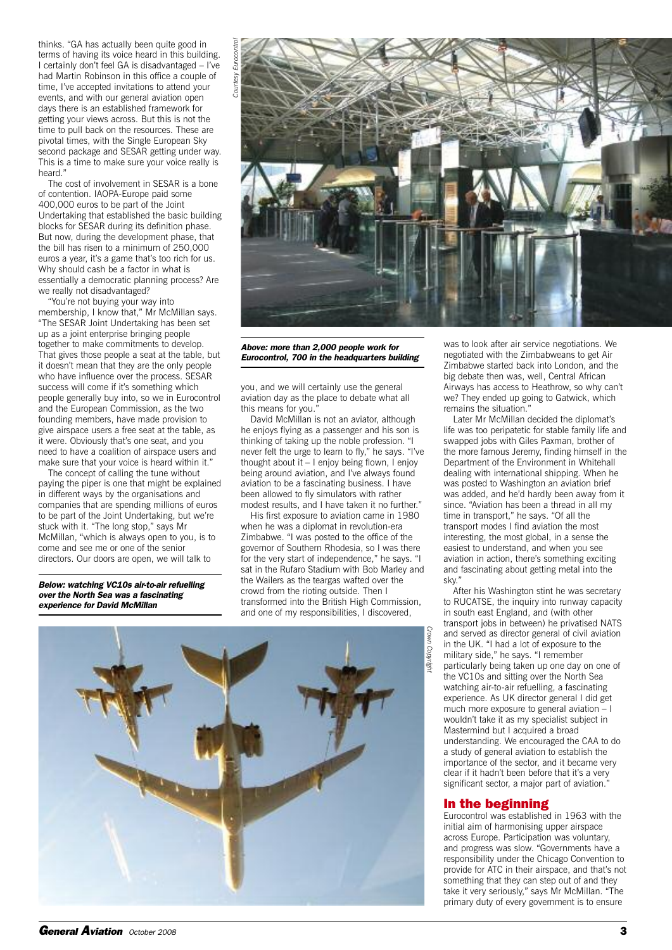thinks. "GA has actually been quite good in terms of having its voice heard in this building. I certainly don't feel GA is disadvantaged – I've had Martin Robinson in this office a couple of time, I've accepted invitations to attend your events, and with our general aviation open days there is an established framework for getting your views across. But this is not the time to pull back on the resources. These are pivotal times, with the Single European Sky second package and SESAR getting under way. This is a time to make sure your voice really is heard<sup>®</sup>

The cost of involvement in SESAR is a bone of contention. IAOPA-Europe paid some 400,000 euros to be part of the Joint Undertaking that established the basic building blocks for SESAR during its definition phase. But now, during the development phase, that the bill has risen to a minimum of 250,000 euros a year, it's a game that's too rich for us. Why should cash be a factor in what is essentially a democratic planning process? Are we really not disadvantaged?

"You're not buying your way into membership, I know that," Mr McMillan says. "The SESAR Joint Undertaking has been set up as a joint enterprise bringing people together to make commitments to develop. That gives those people a seat at the table, but it doesn't mean that they are the only people who have influence over the process. SESAR success will come if it's something which people generally buy into, so we in Eurocontrol and the European Commission, as the two founding members, have made provision to give airspace users a free seat at the table, as it were. Obviously that's one seat, and you need to have a coalition of airspace users and make sure that your voice is heard within it."

The concept of calling the tune without paying the piper is one that might be explained in different ways by the organisations and companies that are spending millions of euros to be part of the Joint Undertaking, but we're stuck with it. "The long stop," says Mr McMillan, "which is always open to you, is to come and see me or one of the senior directors. Our doors are open, we will talk to

*Below: watching VC10s air-to-air refuelling over the North Sea was a fascinating experience for David McMillan*



*Above: more than 2,000 people work for Eurocontrol, 700 in the headquarters building*

you, and we will certainly use the general aviation day as the place to debate what all this means for you."

David McMillan is not an aviator, although he enjoys flying as a passenger and his son is thinking of taking up the noble profession. "I never felt the urge to learn to fly," he says. "I've thought about it – I enjoy being flown, I enjoy being around aviation, and I've always found aviation to be a fascinating business. I have been allowed to fly simulators with rather modest results, and I have taken it no further."

His first exposure to aviation came in 1980 when he was a diplomat in revolution-era Zimbabwe. "I was posted to the office of the governor of Southern Rhodesia, so I was there for the very start of independence," he says. "I sat in the Rufaro Stadium with Bob Marley and the Wailers as the teargas wafted over the crowd from the rioting outside. Then I transformed into the British High Commission, and one of my responsibilities, I discovered,



was to look after air service negotiations. We negotiated with the Zimbabweans to get Air Zimbabwe started back into London, and the big debate then was, well, Central African Airways has access to Heathrow, so why can't we? They ended up going to Gatwick, which remains the situation."

Later Mr McMillan decided the diplomat's life was too peripatetic for stable family life and swapped jobs with Giles Paxman, brother of the more famous Jeremy, finding himself in the Department of the Environment in Whitehall dealing with international shipping. When he was posted to Washington an aviation brief was added, and he'd hardly been away from it since. "Aviation has been a thread in all my time in transport," he says. "Of all the transport modes I find aviation the most interesting, the most global, in a sense the easiest to understand, and when you see aviation in action, there's something exciting and fascinating about getting metal into the sky."

After his Washington stint he was secretary to RUCATSE, the inquiry into runway capacity in south east England, and (with other transport jobs in between) he privatised NATS and served as director general of civil aviation in the UK. "I had a lot of exposure to the military side," he says. "I remember particularly being taken up one day on one of the VC10s and sitting over the North Sea watching air-to-air refuelling, a fascinating experience. As UK director general I did get much more exposure to general aviation – I wouldn't take it as my specialist subject in Mastermind but I acquired a broad understanding. We encouraged the CAA to do a study of general aviation to establish the importance of the sector, and it became very clear if it hadn't been before that it's a very significant sector, a major part of aviation."

# **In the beginning**

Eurocontrol was established in 1963 with the initial aim of harmonising upper airspace across Europe. Participation was voluntary, and progress was slow. "Governments have a responsibility under the Chicago Convention to provide for ATC in their airspace, and that's not something that they can step out of and they take it very seriously," says Mr McMillan. "The primary duty of every government is to ensure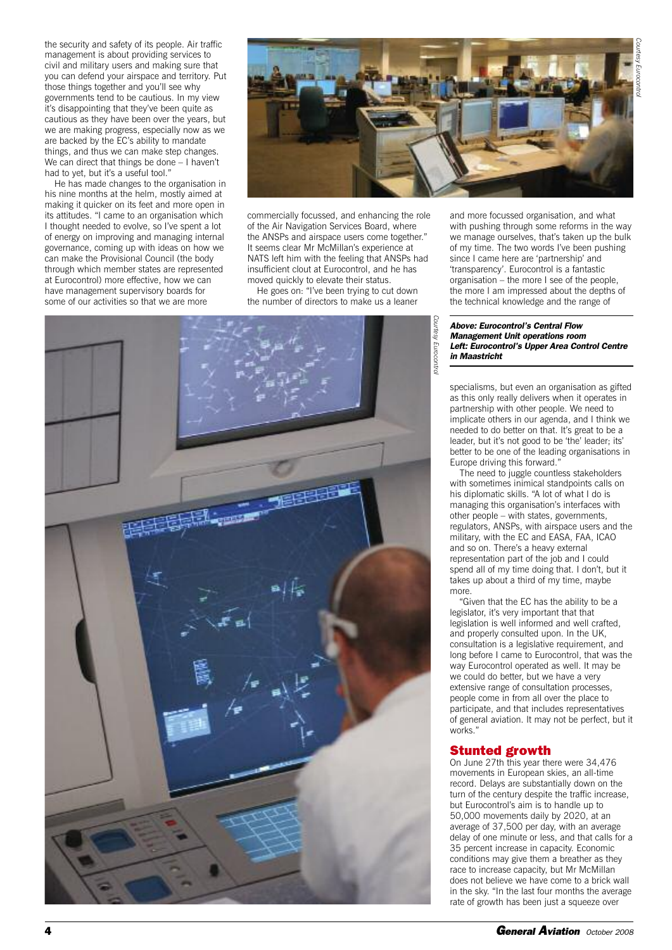*Courtesy Eurocontrol*

the security and safety of its people. Air traffic management is about providing services to civil and military users and making sure that you can defend your airspace and territory. Put those things together and you'll see why governments tend to be cautious. In my view it's disappointing that they've been quite as cautious as they have been over the years, but we are making progress, especially now as we are backed by the EC's ability to mandate things, and thus we can make step changes. We can direct that things be done – I haven't had to yet, but it's a useful tool."

He has made changes to the organisation in his nine months at the helm, mostly aimed at making it quicker on its feet and more open in its attitudes. "I came to an organisation which I thought needed to evolve, so I've spent a lot of energy on improving and managing internal governance, coming up with ideas on how we can make the Provisional Council (the body through which member states are represented at Eurocontrol) more effective, how we can have management supervisory boards for some of our activities so that we are more



commercially focussed, and enhancing the role of the Air Navigation Services Board, where the ANSPs and airspace users come together." It seems clear Mr McMillan's experience at NATS left him with the feeling that ANSPs had insufficient clout at Eurocontrol, and he has moved quickly to elevate their status.

He goes on: "I've been trying to cut down the number of directors to make us a leaner



and more focussed organisation, and what with pushing through some reforms in the way we manage ourselves, that's taken up the bulk of my time. The two words I've been pushing since I came here are 'partnership' and 'transparency'. Eurocontrol is a fantastic organisation – the more I see of the people, the more I am impressed about the depths of the technical knowledge and the range of

### *Above: Eurocontrol's Central Flow Management Unit operations room Left: Eurocontrol's Upper Area Control Centre in Maastricht*

specialisms, but even an organisation as gifted as this only really delivers when it operates in partnership with other people. We need to implicate others in our agenda, and I think we needed to do better on that. It's great to be a leader, but it's not good to be 'the' leader; its' better to be one of the leading organisations in Europe driving this forward."

The need to juggle countless stakeholders with sometimes inimical standpoints calls on his diplomatic skills. "A lot of what I do is managing this organisation's interfaces with other people – with states, governments, regulators, ANSPs, with airspace users and the military, with the EC and EASA, FAA, ICAO and so on. There's a heavy external representation part of the job and I could spend all of my time doing that. I don't, but it takes up about a third of my time, maybe more.

"Given that the EC has the ability to be a legislator, it's very important that that legislation is well informed and well crafted, and properly consulted upon. In the UK, consultation is a legislative requirement, and long before I came to Eurocontrol, that was the way Eurocontrol operated as well. It may be we could do better, but we have a very extensive range of consultation processes, people come in from all over the place to participate, and that includes representatives of general aviation. It may not be perfect, but it works."

# **Stunted growth**

On June 27th this year there were 34,476 movements in European skies, an all-time record. Delays are substantially down on the turn of the century despite the traffic increase, but Eurocontrol's aim is to handle up to 50,000 movements daily by 2020, at an average of 37,500 per day, with an average delay of one minute or less, and that calls for a 35 percent increase in capacity. Economic conditions may give them a breather as they race to increase capacity, but Mr McMillan does not believe we have come to a brick wall in the sky. "In the last four months the average rate of growth has been just a squeeze over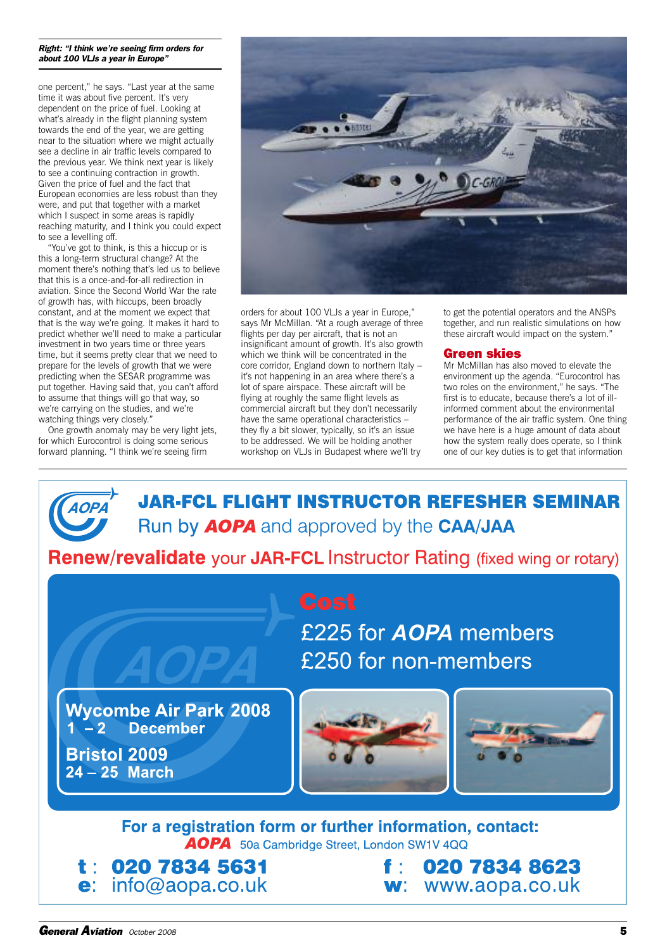### *Right: "I think we're seeing firm orders for about 100 VLJs a year in Europe"*

one percent," he says. "Last year at the same time it was about five percent. It's very dependent on the price of fuel. Looking at what's already in the flight planning system towards the end of the year, we are getting near to the situation where we might actually see a decline in air traffic levels compared to the previous year. We think next year is likely to see a continuing contraction in growth. Given the price of fuel and the fact that European economies are less robust than they were, and put that together with a market which I suspect in some areas is rapidly reaching maturity, and I think you could expect to see a levelling off.

"You've got to think, is this a hiccup or is this a long-term structural change? At the moment there's nothing that's led us to believe that this is a once-and-for-all redirection in aviation. Since the Second World War the rate of growth has, with hiccups, been broadly constant, and at the moment we expect that that is the way we're going. It makes it hard to predict whether we'll need to make a particular investment in two years time or three years time, but it seems pretty clear that we need to prepare for the levels of growth that we were predicting when the SESAR programme was put together. Having said that, you can't afford to assume that things will go that way, so we're carrying on the studies, and we're watching things very closely."

One growth anomaly may be very light jets, for which Eurocontrol is doing some serious forward planning. "I think we're seeing firm



orders for about 100 VLJs a year in Europe," says Mr McMillan. "At a rough average of three flights per day per aircraft, that is not an insignificant amount of growth. It's also growth which we think will be concentrated in the core corridor, England down to northern Italy – it's not happening in an area where there's a lot of spare airspace. These aircraft will be flying at roughly the same flight levels as commercial aircraft but they don't necessarily have the same operational characteristics – they fly a bit slower, typically, so it's an issue to be addressed. We will be holding another workshop on VLJs in Budapest where we'll try

to get the potential operators and the ANSPs together, and run realistic simulations on how these aircraft would impact on the system."

# **Green skies**

Mr McMillan has also moved to elevate the environment up the agenda. "Eurocontrol has two roles on the environment," he says. "The first is to educate, because there's a lot of illinformed comment about the environmental performance of the air traffic system. One thing we have here is a huge amount of data about how the system really does operate, so I think one of our key duties is to get that information